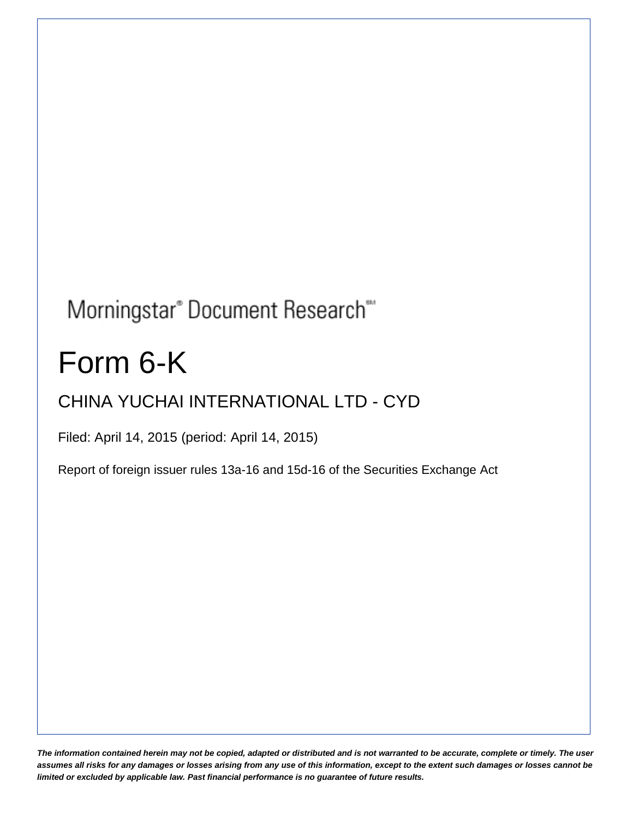## Morningstar® Document Research®

# Form 6-K

## CHINA YUCHAI INTERNATIONAL LTD - CYD

Filed: April 14, 2015 (period: April 14, 2015)

Report of foreign issuer rules 13a-16 and 15d-16 of the Securities Exchange Act

*The information contained herein may not be copied, adapted or distributed and is not warranted to be accurate, complete or timely. The user assumes all risks for any damages or losses arising from any use of this information, except to the extent such damages or losses cannot be limited or excluded by applicable law. Past financial performance is no guarantee of future results.*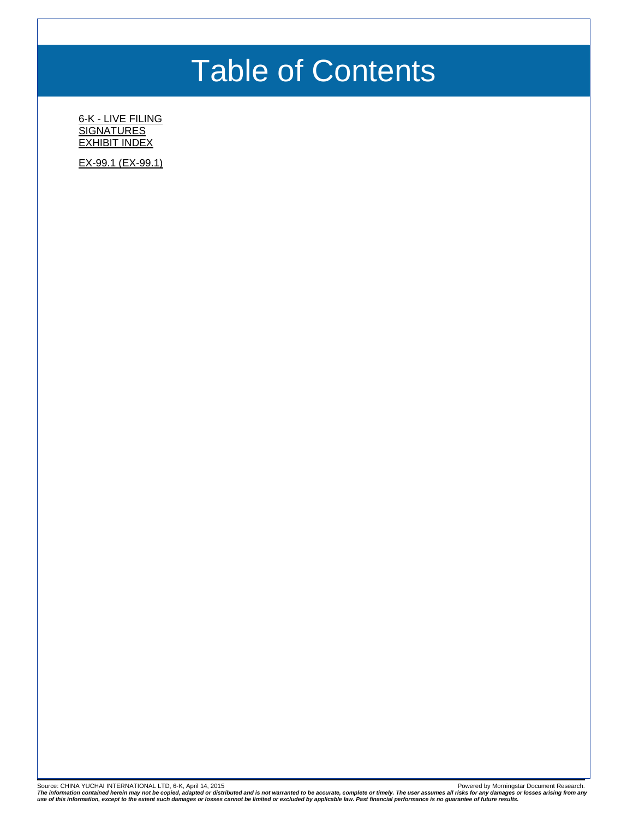## Table of Contents

6-K - [LIVE FILING](#page-2-0) **[SIGNATURES](#page-4-0)** [EXHIBIT INDEX](#page-5-0)

[EX-99.1 \(EX-99.1\)](#page-6-0)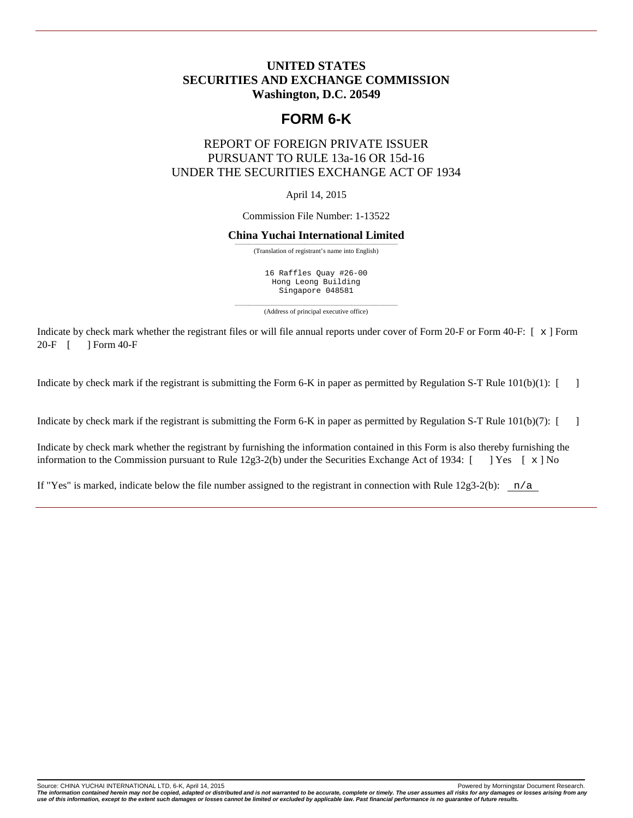### <span id="page-2-0"></span>**UNITED STATES SECURITIES AND EXCHANGE COMMISSION Washington, D.C. 20549**

## **FORM 6-K**

## REPORT OF FOREIGN PRIVATE ISSUER PURSUANT TO RULE 13a-16 OR 15d-16 UNDER THE SECURITIES EXCHANGE ACT OF 1934

April 14, 2015

Commission File Number: 1-13522

#### **China Yuchai International Limited**

——————————————————————————————————— (Translation of registrant's name into English)

16 Raffles Quay #26-00 Hong Leong Building Singapore 048581

——————————————————————————————————— (Address of principal executive office)

Indicate by check mark whether the registrant files or will file annual reports under cover of Form 20-F or Form 40-F:  $[x]$  Form  $20-F$   $[$  1 Form 40-F 1 Form 40-F

Indicate by check mark if the registrant is submitting the Form 6-K in paper as permitted by Regulation S-T Rule 101(b)(1): [ ]

Indicate by check mark if the registrant is submitting the Form 6-K in paper as permitted by Regulation S-T Rule 101(b)(7): [ ]

Indicate by check mark whether the registrant by furnishing the information contained in this Form is also thereby furnishing the information to the Commission pursuant to Rule 12g3-2(b) under the Securities Exchange Act of 1934:  $[$  ] Yes  $[ \times ]$  No

If "Yes" is marked, indicate below the file number assigned to the registrant in connection with Rule  $12g3-2(b)$ :  $n/a$ 

Source: CHINA YUCHAI INTERNATIONAL LTD, 6-K, April 14, 2015 **Powered by Morningstar Document Research.** 

The information contained herein may not be copied, adapted or distributed and is not warranted to be accurate, complete or timely. The user assumes all risks for any damages or losses arising from any<br>use of this informat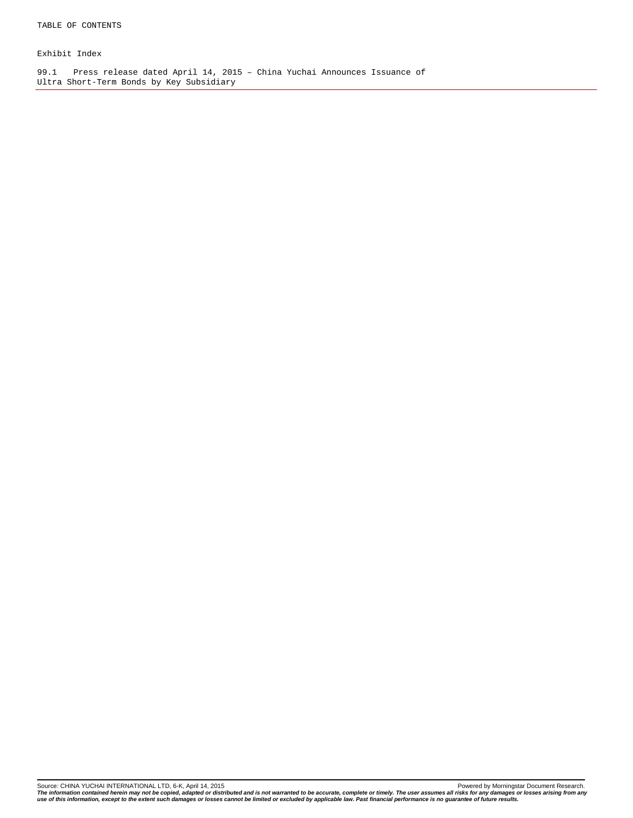Exhibit Index

99.1 Press release dated April 14, 2015 – China Yuchai Announces Issuance of Ultra Short-Term Bonds by Key Subsidiary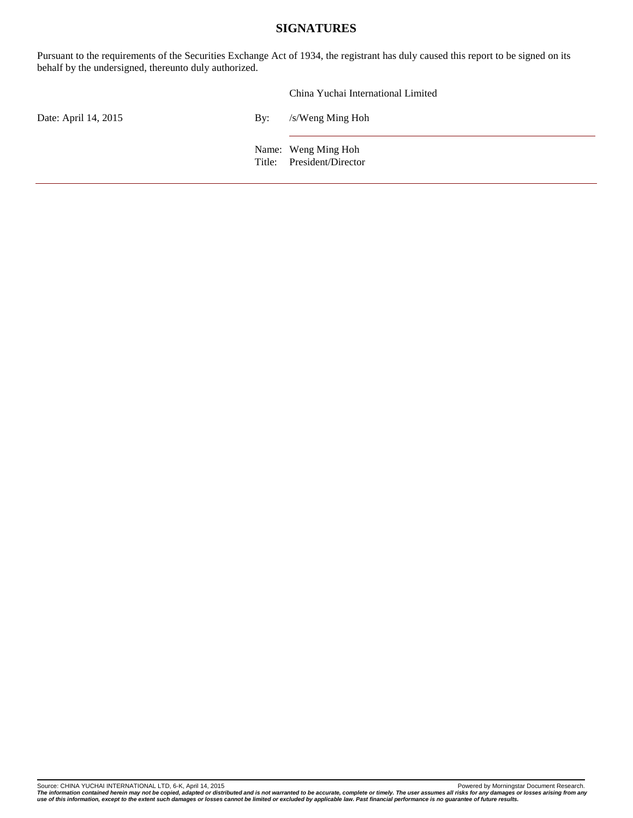#### **SIGNATURES**

<span id="page-4-0"></span>Pursuant to the requirements of the Securities Exchange Act of 1934, the registrant has duly caused this report to be signed on its behalf by the undersigned, thereunto duly authorized.

|                      |                           | China Yuchai International Limited               |
|----------------------|---------------------------|--------------------------------------------------|
| Date: April 14, 2015 | $\mathbf{B} \mathbf{v}$ : | /s/Weng Ming Hoh                                 |
|                      |                           | Name: Weng Ming Hoh<br>Title: President/Director |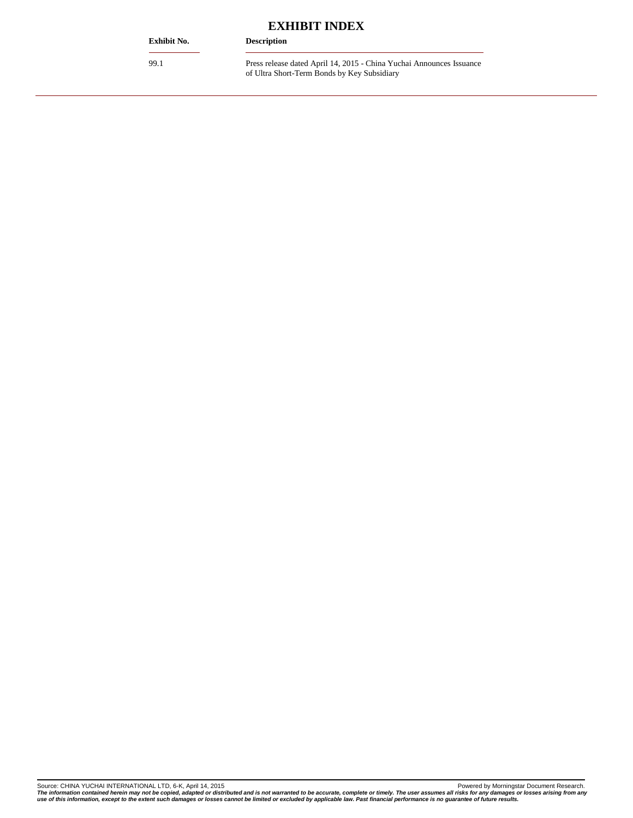#### <span id="page-5-0"></span>**Exhibit No. Description**

## **EXHIBIT INDEX**

99.1 Press release dated April 14, 2015 - China Yuchai Announces Issuance of Ultra Short-Term Bonds by Key Subsidiary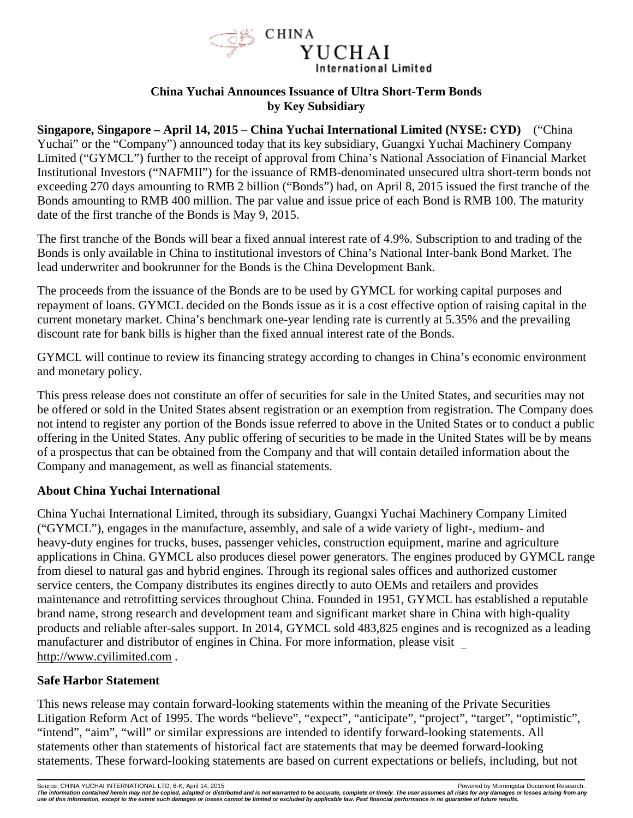

### **China Yuchai Announces Issuance of Ultra Short-Term Bonds by Key Subsidiary**

<span id="page-6-0"></span>**Singapore, Singapore – April 14, 2015** – **China Yuchai International Limited (NYSE: CYD)** ("China Yuchai" or the "Company") announced today that its key subsidiary, Guangxi Yuchai Machinery Company Limited ("GYMCL") further to the receipt of approval from China's National Association of Financial Market Institutional Investors ("NAFMII") for the issuance of RMB-denominated unsecured ultra short-term bonds not exceeding 270 days amounting to RMB 2 billion ("Bonds") had, on April 8, 2015 issued the first tranche of the Bonds amounting to RMB 400 million. The par value and issue price of each Bond is RMB 100. The maturity date of the first tranche of the Bonds is May 9, 2015.

The first tranche of the Bonds will bear a fixed annual interest rate of 4.9%. Subscription to and trading of the Bonds is only available in China to institutional investors of China's National Inter-bank Bond Market. The lead underwriter and bookrunner for the Bonds is the China Development Bank.

The proceeds from the issuance of the Bonds are to be used by GYMCL for working capital purposes and repayment of loans. GYMCL decided on the Bonds issue as it is a cost effective option of raising capital in the current monetary market. China's benchmark one-year lending rate is currently at 5.35% and the prevailing discount rate for bank bills is higher than the fixed annual interest rate of the Bonds.

GYMCL will continue to review its financing strategy according to changes in China's economic environment and monetary policy.

This press release does not constitute an offer of securities for sale in the United States, and securities may not be offered or sold in the United States absent registration or an exemption from registration. The Company does not intend to register any portion of the Bonds issue referred to above in the United States or to conduct a public offering in the United States. Any public offering of securities to be made in the United States will be by means of a prospectus that can be obtained from the Company and that will contain detailed information about the Company and management, as well as financial statements.

## **About China Yuchai International**

China Yuchai International Limited, through its subsidiary, Guangxi Yuchai Machinery Company Limited ("GYMCL"), engages in the manufacture, assembly, and sale of a wide variety of light-, medium- and heavy-duty engines for trucks, buses, passenger vehicles, construction equipment, marine and agriculture applications in China. GYMCL also produces diesel power generators. The engines produced by GYMCL range from diesel to natural gas and hybrid engines. Through its regional sales offices and authorized customer service centers, the Company distributes its engines directly to auto OEMs and retailers and provides maintenance and retrofitting services throughout China. Founded in 1951, GYMCL has established a reputable brand name, strong research and development team and significant market share in China with high-quality products and reliable after-sales support. In 2014, GYMCL sold 483,825 engines and is recognized as a leading manufacturer and distributor of engines in China. For more information, please visit http://www.cyilimited.com .

## **Safe Harbor Statement**

This news release may contain forward-looking statements within the meaning of the Private Securities Litigation Reform Act of 1995. The words "believe", "expect", "anticipate", "project", "target", "optimistic", "intend", "aim", "will" or similar expressions are intended to identify forward-looking statements. All statements other than statements of historical fact are statements that may be deemed forward-looking statements. These forward-looking statements are based on current expectations or beliefs, including, but not